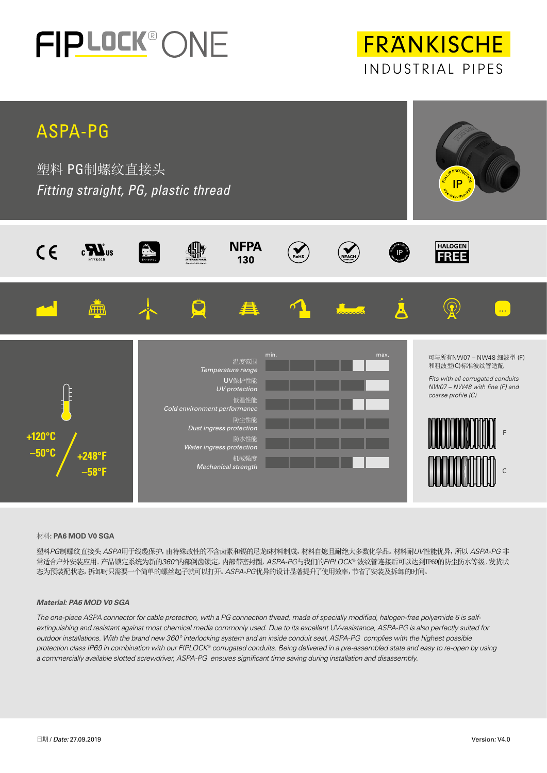

**FRANKISCHE** INDUSTRIAL PIPES



### 材料**: PA6 MOD V0 SGA**

塑料*PG*制螺纹直接头 *ASPA*用于线缆保护,由特殊改性的不含卤素和镉的尼龙6材料制成,材料自熄且耐绝大多数化学品。材料耐*UV*性能优异,所以 *ASPA-PG* 非 常适合户外安装应用。产品锁定系统为新的*360°*内部倒齿锁定,内部带密封圈,*ASPA-PG*与我们的*FIPLOCK®* 波纹管连接后可以达到IP69的防尘防水等级。发货状 态为预装配状态,拆卸时只需要一个简单的螺丝起子就可以打开。*ASPA-PG*优异的设计显著提升了使用效率,节省了安装及拆卸的时间。

### *Material: PA6 MOD V0 SGA*

*The one-piece ASPA connector for cable protection, with a PG connection thread, made of specially modified, halogen-free polyamide 6 is selfextinguishing and resistant against most chemical media commonly used. Due to its excellent UV-resistance, ASPA-PG is also perfectly suited for outdoor installations. With the brand new 360° interlocking system and an inside conduit seal, ASPA-PG complies with the highest possible protection class IP69 in combination with our FIPLOCK*® *corrugated conduits. Being delivered in a pre-assembled state and easy to re-open by using a commercially available slotted screwdriver, ASPA-PG ensures significant time saving during installation and disassembly.*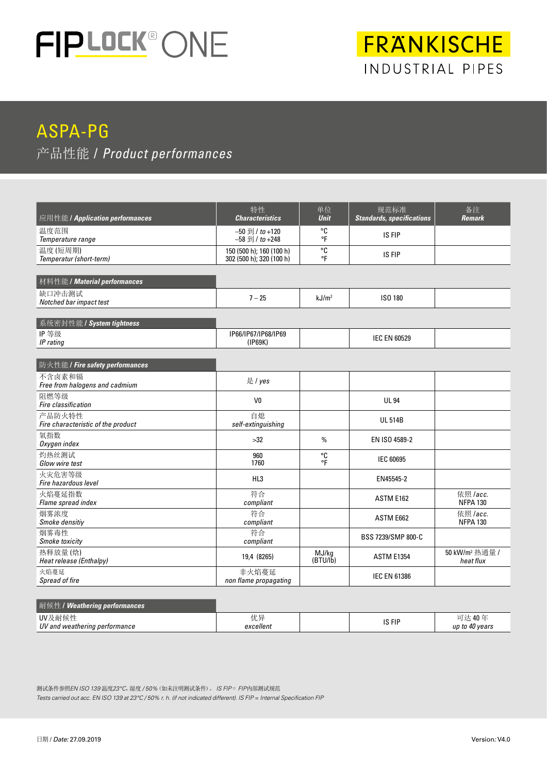

# FRANKISCHE INDUSTRIAL PIPES

## ASPA-PG 产品性能 / *Product performances*

| 应用性能 / Application performances              | 特性<br><b>Characteristics</b>                         | 单位<br>规范标准<br><b>Unit</b><br><b>Standards, specifications</b> |                     | 备注<br><b>Remark</b>                     |  |
|----------------------------------------------|------------------------------------------------------|---------------------------------------------------------------|---------------------|-----------------------------------------|--|
| 温度范围<br>Temperature range                    | $-50$ 到 / to +120<br>$-58 \overline{21}$ / to +248   | °C<br>°F                                                      | IS FIP              |                                         |  |
| 温度(短周期)<br>Temperatur (short-term)           | 150 (500 h); 160 (100 h)<br>302 (500 h); 320 (100 h) | °C<br>°F                                                      | IS FIP              |                                         |  |
| 材料性能 / Material performances                 |                                                      |                                                               |                     |                                         |  |
| 缺口冲击测试<br>Notched bar impact test            | $7 - 25$                                             | kJ/m <sup>2</sup>                                             |                     |                                         |  |
| 系统密封性能 / System tightness                    |                                                      |                                                               |                     |                                         |  |
| IP等级<br>IP rating                            | IP66/IP67/IP68/IP69<br>(IP69K)                       |                                                               |                     |                                         |  |
| 防火性能 / Fire safety performances              |                                                      |                                                               |                     |                                         |  |
| 不含卤素和镉<br>Free from halogens and cadmium     | 是 / yes                                              |                                                               |                     |                                         |  |
| 阻燃等级<br>Fire classification                  | V <sub>0</sub>                                       |                                                               | <b>UL 94</b>        |                                         |  |
| 产品防火特性<br>Fire characteristic of the product | 自熄<br>self-extinguishing                             |                                                               | <b>UL 514B</b>      |                                         |  |
| 氧指数<br>Oxygen index                          | >32                                                  | $\%$                                                          | EN ISO 4589-2       |                                         |  |
| 灼热丝测试<br><b>Glow wire test</b>               | 960<br>1760                                          | °C<br>۰Ē                                                      | <b>IEC 60695</b>    |                                         |  |
| 火灾危害等级<br>Fire hazardous level               | HL3                                                  | EN45545-2                                                     |                     |                                         |  |
| 火焰蔓延指数<br>Flame spread index                 | 符合<br>compliant                                      | ASTM E162                                                     |                     | 依照 /acc.<br><b>NFPA 130</b>             |  |
| 烟雾浓度<br>Smoke densitiy                       | 符合<br>compliant                                      |                                                               | ASTM E662           | 依照 /acc.<br><b>NFPA 130</b>             |  |
| 烟雾毒性<br><b>Smoke toxicity</b>                | 符合<br>compliant                                      | BSS 7239/SMP 800-C                                            |                     |                                         |  |
| 热释放量(焓)<br>Heat release (Enthalpy)           | 19,4 (8265)                                          | MJ/kg<br><b>ASTM E1354</b><br>(BTU/lb)                        |                     | 50 kW/m <sup>2</sup> 热通量 /<br>heat flux |  |
| 火焰蔓延<br>Spread of fire                       | 非火焰蔓延<br>non flame propagating                       |                                                               | <b>IEC EN 61386</b> |                                         |  |

| <b> 耐候性/Weathering performances</b>     |                        |        |                               |
|-----------------------------------------|------------------------|--------|-------------------------------|
| UV及耐候性<br>UV and weathering performance | 优号<br>リレナ<br>excellent | IS FIP | 达 40年<br>יש<br>up to 40 years |

测试条件参照*EN ISO 139* 温度*23°C*,湿度 */ 50%*(如未注明测试条件)。 *IS FIP* = *FIP*内部测试规范 *Tests carried out acc. EN ISO 139 at 23°C / 50% r. h. (if not indicated different). IS FIP = Internal Specification FIP*